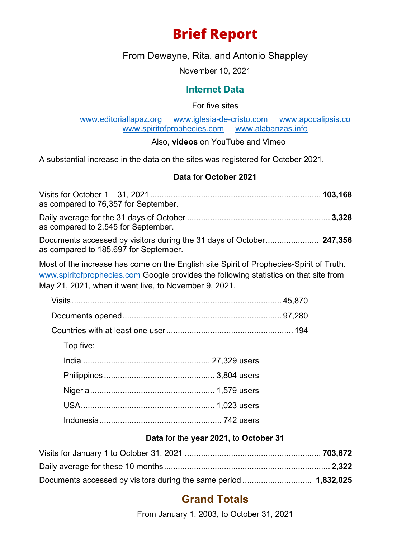# **Brief Report**

From Dewayne, Rita, and Antonio Shappley

November 10, 2021

### **Internet Data**

For five sites

[www.editoriallapaz.org](http://www.editoriallapaz.org/) [www.iglesia-de-cristo.com](http://www.iglesia-de-cristo.com/) [www.apocalipsis.co](http://www.apocalipsis.co/) [www.spiritofprophecies.com](http://www.spiritofprophecies.com/) [www.alabanzas.info](http://www.alabanzas.info/)

Also, **videos** on YouTube and Vimeo

A substantial increase in the data on the sites was registered for October 2021.

#### **Data** for **October 2021**

| as compared to 76,357 for September.                                                                                                                                                                                                      |  |
|-------------------------------------------------------------------------------------------------------------------------------------------------------------------------------------------------------------------------------------------|--|
| as compared to 2,545 for September.                                                                                                                                                                                                       |  |
| Documents accessed by visitors during the 31 days of October 247,356<br>as compared to 185.697 for September.                                                                                                                             |  |
| Most of the increase has come on the English site Spirit of Prophecies-Spirit of Truth.<br>www.spiritofprophecies.com Google provides the following statistics on that site from<br>May 21, 2021, when it went live, to November 9, 2021. |  |
|                                                                                                                                                                                                                                           |  |
|                                                                                                                                                                                                                                           |  |
|                                                                                                                                                                                                                                           |  |
| Top five:                                                                                                                                                                                                                                 |  |
|                                                                                                                                                                                                                                           |  |
|                                                                                                                                                                                                                                           |  |
|                                                                                                                                                                                                                                           |  |
|                                                                                                                                                                                                                                           |  |
|                                                                                                                                                                                                                                           |  |
| Data for the year 2021, to October 31                                                                                                                                                                                                     |  |
|                                                                                                                                                                                                                                           |  |
|                                                                                                                                                                                                                                           |  |

# Documents accessed by visitors during the same period .............................. **1,832,025**

# **Grand Totals**

From January 1, 2003, to October 31, 2021